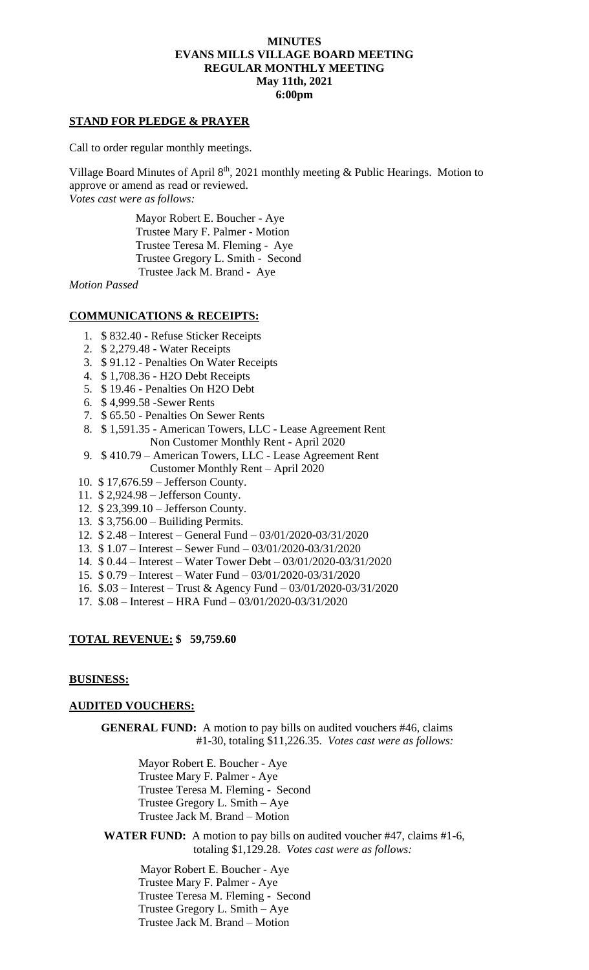### **MINUTES EVANS MILLS VILLAGE BOARD MEETING REGULAR MONTHLY MEETING May 11th, 2021 6:00pm**

### **STAND FOR PLEDGE & PRAYER**

Call to order regular monthly meetings.

Village Board Minutes of April  $8<sup>th</sup>$ , 2021 monthly meeting & Public Hearings. Motion to approve or amend as read or reviewed. *Votes cast were as follows:*

> Mayor Robert E. Boucher - Aye Trustee Mary F. Palmer - Motion Trustee Teresa M. Fleming - Aye Trustee Gregory L. Smith - Second Trustee Jack M. Brand - Aye

*Motion Passed*

### **COMMUNICATIONS & RECEIPTS:**

- 1. \$ 832.40 Refuse Sticker Receipts
- 2. \$ 2,279.48 Water Receipts
- 3. \$ 91.12 Penalties On Water Receipts
- 4. \$ 1,708.36 H2O Debt Receipts
- 5. \$ 19.46 Penalties On H2O Debt
- 6. \$ 4,999.58 -Sewer Rents
- 7. \$ 65.50 Penalties On Sewer Rents
- 8. \$ 1,591.35 American Towers, LLC Lease Agreement Rent Non Customer Monthly Rent - April 2020
- 9. \$ 410.79 American Towers, LLC Lease Agreement Rent Customer Monthly Rent – April 2020
- 10. \$ 17,676.59 Jefferson County.
- 11. \$ 2,924.98 Jefferson County.
- 12. \$ 23,399.10 Jefferson County.
- 13. \$ 3,756.00 Builiding Permits.
- 12. \$ 2.48 Interest General Fund 03/01/2020-03/31/2020
- 13. \$ 1.07 Interest Sewer Fund 03/01/2020-03/31/2020
- 14. \$ 0.44 Interest Water Tower Debt 03/01/2020-03/31/2020
- 15. \$ 0.79 Interest Water Fund 03/01/2020-03/31/2020
- 16. \$.03 Interest Trust & Agency Fund 03/01/2020-03/31/2020
- 17. \$.08 Interest HRA Fund 03/01/2020-03/31/2020

## **TOTAL REVENUE: \$ 59,759.60**

#### **BUSINESS:**

#### **AUDITED VOUCHERS:**

**GENERAL FUND:** A motion to pay bills on audited vouchers #46, claims #1-30, totaling \$11,226.35. *Votes cast were as follows:*

> Mayor Robert E. Boucher - Aye Trustee Mary F. Palmer - Aye Trustee Teresa M. Fleming - Second Trustee Gregory L. Smith – Aye Trustee Jack M. Brand – Motion

**WATER FUND:** A motion to pay bills on audited voucher #47, claims #1-6, totaling \$1,129.28. *Votes cast were as follows:*

 Mayor Robert E. Boucher - Aye Trustee Mary F. Palmer - Aye Trustee Teresa M. Fleming - Second Trustee Gregory L. Smith – Aye Trustee Jack M. Brand – Motion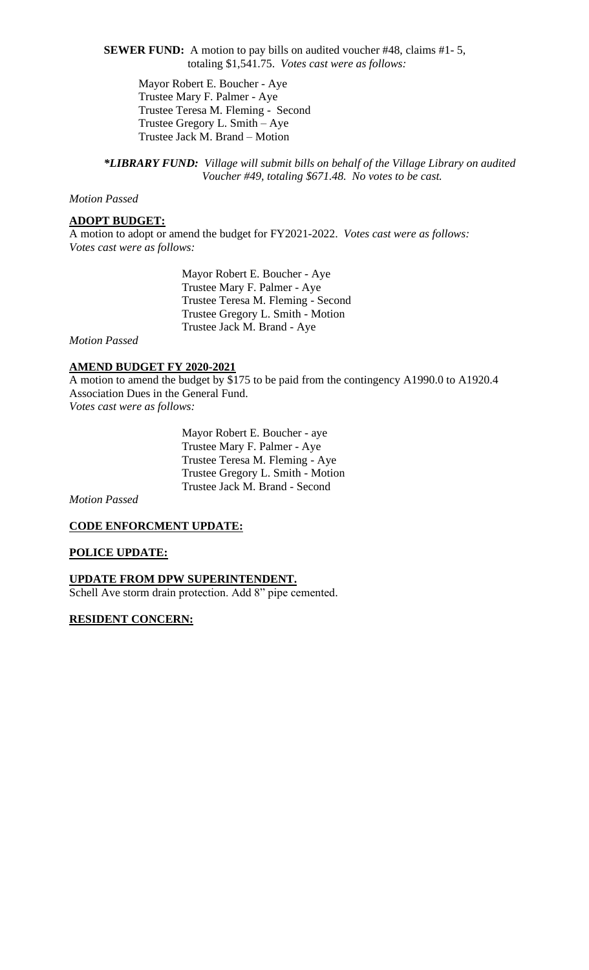**SEWER FUND:** A motion to pay bills on audited voucher #48, claims #1- 5, totaling \$1,541.75. *Votes cast were as follows:*

Mayor Robert E. Boucher - Aye Trustee Mary F. Palmer - Aye Trustee Teresa M. Fleming - Second Trustee Gregory L. Smith – Aye Trustee Jack M. Brand – Motion

*\*LIBRARY FUND: Village will submit bills on behalf of the Village Library on audited Voucher #49, totaling \$671.48. No votes to be cast.*

## *Motion Passed*

#### **ADOPT BUDGET:**

A motion to adopt or amend the budget for FY2021-2022. *Votes cast were as follows: Votes cast were as follows:*

> Mayor Robert E. Boucher - Aye Trustee Mary F. Palmer - Aye Trustee Teresa M. Fleming - Second Trustee Gregory L. Smith - Motion Trustee Jack M. Brand - Aye

# *Motion Passed*

## **AMEND BUDGET FY 2020-2021**

A motion to amend the budget by \$175 to be paid from the contingency A1990.0 to A1920.4 Association Dues in the General Fund. *Votes cast were as follows:*

 Mayor Robert E. Boucher - aye Trustee Mary F. Palmer - Aye Trustee Teresa M. Fleming - Aye Trustee Gregory L. Smith - Motion Trustee Jack M. Brand - Second

*Motion Passed*

## **CODE ENFORCMENT UPDATE:**

#### **POLICE UPDATE:**

#### **UPDATE FROM DPW SUPERINTENDENT.**

Schell Ave storm drain protection. Add 8" pipe cemented.

## **RESIDENT CONCERN:**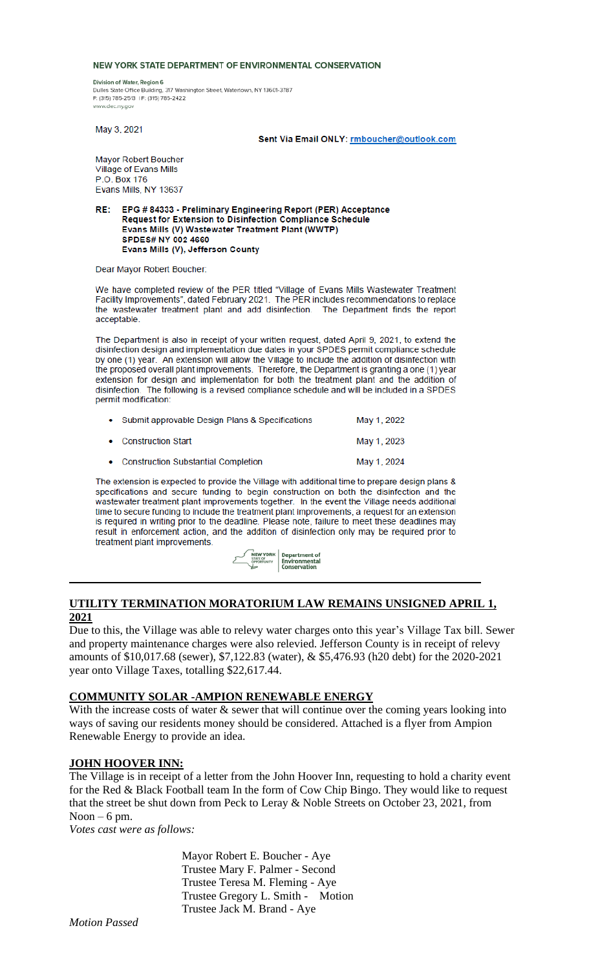#### NEW YORK STATE DEPARTMENT OF ENVIRONMENTAL CONSERVATION

Division of Water, Region 6 Dulles State Office Building, 317 Washington Street, Watertown, NY 13601-3787 P: (315) 785-2513 | F: (315) 785-2422 www.dec.nv.nov

May 3, 2021

Sent Via Email ONLY: rmboucher@outlook.com

Mayor Robert Boucher Village of Evans Mills P.O. Box 176 Evans Mills, NY 13637

EPG # 84333 - Preliminary Engineering Report (PER) Acceptance RE: Request for Extension to Disinfection Compliance Schedule Evans Mills (V) Wastewater Treatment Plant (WWTP) SPDES# NY 002 4660 Evans Mills (V), Jefferson County

Dear Mayor Robert Boucher:

We have completed review of the PER titled "Village of Evans Mills Wastewater Treatment Facility Improvements", dated February 2021. The PER includes recommendations to replace the wastewater treatment plant and add disinfection. The Department finds the report acceptable.

The Department is also in receipt of your written request, dated April 9, 2021, to extend the disinfection design and implementation due dates in your SPDES permit compliance schedule by one (1) year. An extension will allow the Village to include the addition of disinfection with the proposed overall plant improvements. Therefore, the Department is granting a one (1) year extension for design and implementation for both the treatment plant and the addition of disinfection. The following is a revised compliance schedule and will be included in a SPDES permit modification:

| • Submit approvable Design Plans & Specifications | May 1, 2022 |
|---------------------------------------------------|-------------|
| • Construction Start                              | May 1, 2023 |
| • Construction Substantial Completion             | May 1, 2024 |

The extension is expected to provide the Village with additional time to prepare design plans & specifications and secure funding to begin construction on both the disinfection and the wastewater treatment plant improvements together. In the event the Village needs additional time to secure funding to include the treatment plant improvements, a request for an extension is required in writing prior to the deadline. Please note, failure to meet these deadlines may result in enforcement action, and the addition of disinfection only may be required prior to treatment plant improvements.



## **UTILITY TERMINATION MORATORIUM LAW REMAINS UNSIGNED APRIL 1, 2021**

Due to this, the Village was able to relevy water charges onto this year's Village Tax bill. Sewer and property maintenance charges were also relevied. Jefferson County is in receipt of relevy amounts of \$10,017.68 (sewer), \$7,122.83 (water), & \$5,476.93 (h20 debt) for the 2020-2021 year onto Village Taxes, totalling \$22,617.44.

#### **COMMUNITY SOLAR -AMPION RENEWABLE ENERGY**

With the increase costs of water  $\&$  sewer that will continue over the coming years looking into ways of saving our residents money should be considered. Attached is a flyer from Ampion Renewable Energy to provide an idea.

#### **JOHN HOOVER INN:**

The Village is in receipt of a letter from the John Hoover Inn, requesting to hold a charity event for the Red & Black Football team In the form of Cow Chip Bingo. They would like to request that the street be shut down from Peck to Leray & Noble Streets on October 23, 2021, from Noon –  $6$  pm.

*Votes cast were as follows:*

 Mayor Robert E. Boucher - Aye Trustee Mary F. Palmer - Second Trustee Teresa M. Fleming - Aye Trustee Gregory L. Smith - Motion Trustee Jack M. Brand - Aye

*Motion Passed*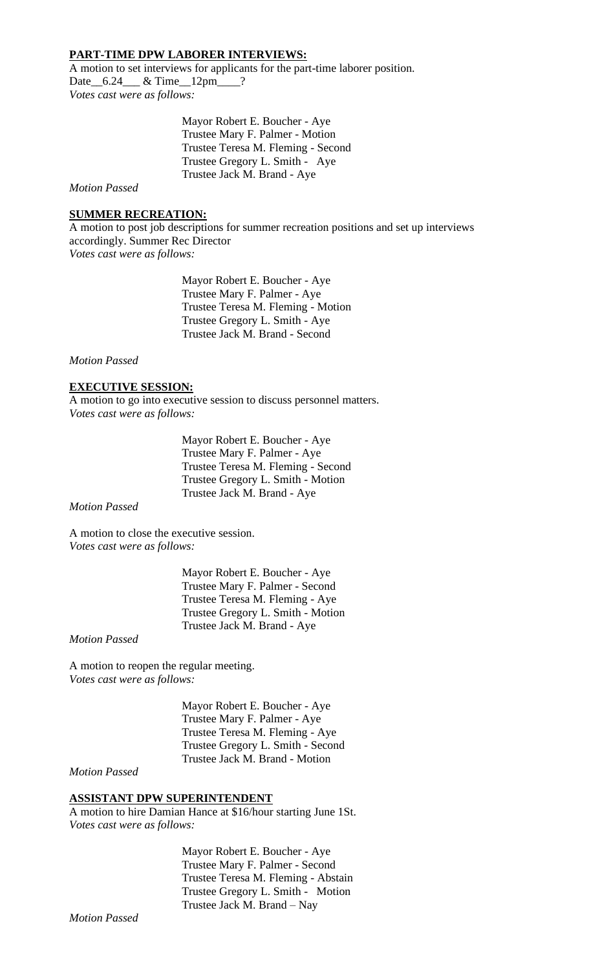## **PART-TIME DPW LABORER INTERVIEWS:**

A motion to set interviews for applicants for the part-time laborer position. Date 6.24 & Time 12pm ? *Votes cast were as follows:*

> Mayor Robert E. Boucher - Aye Trustee Mary F. Palmer - Motion Trustee Teresa M. Fleming - Second Trustee Gregory L. Smith - Aye Trustee Jack M. Brand - Aye

*Motion Passed*

### **SUMMER RECREATION:**

A motion to post job descriptions for summer recreation positions and set up interviews accordingly. Summer Rec Director *Votes cast were as follows:*

> Mayor Robert E. Boucher - Aye Trustee Mary F. Palmer - Aye Trustee Teresa M. Fleming - Motion Trustee Gregory L. Smith - Aye Trustee Jack M. Brand - Second

*Motion Passed*

#### **EXECUTIVE SESSION:**

A motion to go into executive session to discuss personnel matters. *Votes cast were as follows:*

> Mayor Robert E. Boucher - Aye Trustee Mary F. Palmer - Aye Trustee Teresa M. Fleming - Second Trustee Gregory L. Smith - Motion Trustee Jack M. Brand - Aye

*Motion Passed*

A motion to close the executive session. *Votes cast were as follows:*

> Mayor Robert E. Boucher - Aye Trustee Mary F. Palmer - Second Trustee Teresa M. Fleming - Aye Trustee Gregory L. Smith - Motion Trustee Jack M. Brand - Aye

*Motion Passed*

A motion to reopen the regular meeting. *Votes cast were as follows:*

> Mayor Robert E. Boucher - Aye Trustee Mary F. Palmer - Aye Trustee Teresa M. Fleming - Aye Trustee Gregory L. Smith - Second Trustee Jack M. Brand - Motion

*Motion Passed*

## **ASSISTANT DPW SUPERINTENDENT**

A motion to hire Damian Hance at \$16/hour starting June 1St. *Votes cast were as follows:*

> Mayor Robert E. Boucher - Aye Trustee Mary F. Palmer - Second Trustee Teresa M. Fleming - Abstain Trustee Gregory L. Smith - Motion Trustee Jack M. Brand – Nay

*Motion Passed*